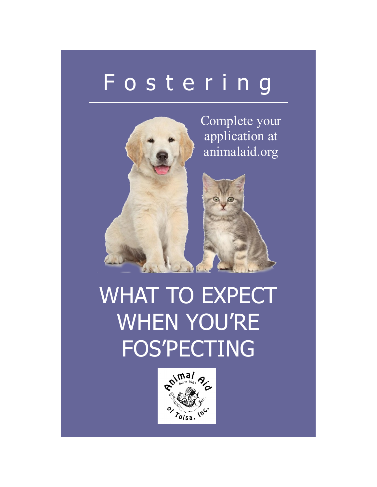## F o s t e r i n g



WHAT TO EXPECT WHEN YOU'RE FOS'PECTING

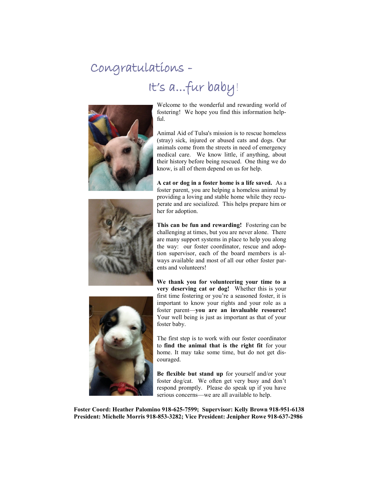## Congratulations -

## It's a...fur baby!



Welcome to the wonderful and rewarding world of fostering! We hope you find this information helpful.

Animal Aid of Tulsa's mission is to rescue homeless (stray) sick, injured or abused cats and dogs. Our animals come from the streets in need of emergency medical care. We know little, if anything, about their history before being rescued. One thing we do know, is all of them depend on us for help.



**A cat or dog in a foster home is a life saved.** As a foster parent, you are helping a homeless animal by providing a loving and stable home while they recuperate and are socialized. This helps prepare him or her for adoption.

**This can be fun and rewarding!** Fostering can be challenging at times, but you are never alone. There are many support systems in place to help you along the way: our foster coordinator, rescue and adoption supervisor, each of the board members is always available and most of all our other foster parents and volunteers!



**We thank you for volunteering your time to a very deserving cat or dog!** Whether this is your first time fostering or you're a seasoned foster, it is important to know your rights and your role as a foster parent—**you are an invaluable resource!**  Your well being is just as important as that of your foster baby.

The first step is to work with our foster coordinator to **find the animal that is the right fit** for your home. It may take some time, but do not get discouraged.

**Be flexible but stand up** for yourself and/or your foster dog/cat. We often get very busy and don't respond promptly. Please do speak up if you have serious concerns—we are all available to help.

**Foster Coord: Heather Palomino 918-625-7599; Supervisor: Kelly Brown 918-951-6138 President: Michelle Morris 918-853-3282; Vice President: Jenipher Rowe 918-637-2986**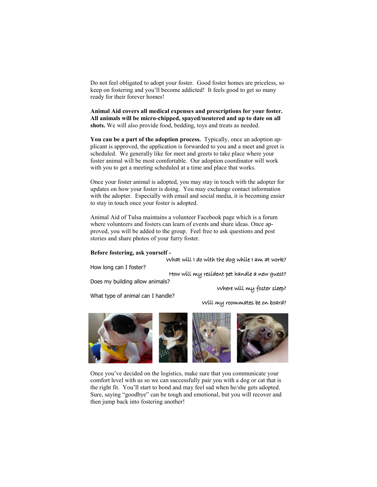Do not feel obligated to adopt your foster. Good foster homes are priceless, so keep on fostering and you'll become addicted! It feels good to get so many ready for their forever homes!

**Animal Aid covers all medical expenses and prescriptions for your foster. All animals will be micro-chipped, spayed/neutered and up to date on all shots.** We will also provide food, bedding, toys and treats as needed.

**You can be a part of the adoption process.** Typically, once an adoption applicant is approved, the application is forwarded to you and a meet and greet is scheduled. We generally like for meet and greets to take place where your foster animal will be most comfortable. Our adoption coordinator will work with you to get a meeting scheduled at a time and place that works.

Once your foster animal is adopted, you may stay in touch with the adopter for updates on how your foster is doing. You may exchange contact information with the adopter. Especially with email and social media, it is becoming easier to stay in touch once your foster is adopted.

Animal Aid of Tulsa maintains a volunteer Facebook page which is a forum where volunteers and fosters can learn of events and share ideas. Once approved, you will be added to the group. Feel free to ask questions and post stories and share photos of your furry foster.

## **Before fostering, ask yourself -**

What will I do with the dog while I am at work?

How long can I foster?

How will my resident pet handle a new guest?

Does my building allow animals?

Where will my foster sleep?

What type of animal can I handle?

Will my roommates be on board?



Once you've decided on the logistics, make sure that you communicate your comfort level with us so we can successfully pair you with a dog or cat that is the right fit. You'll start to bond and may feel sad when he/she gets adopted. Sure, saying "goodbye" can be tough and emotional, but you will recover and then jump back into fostering another!